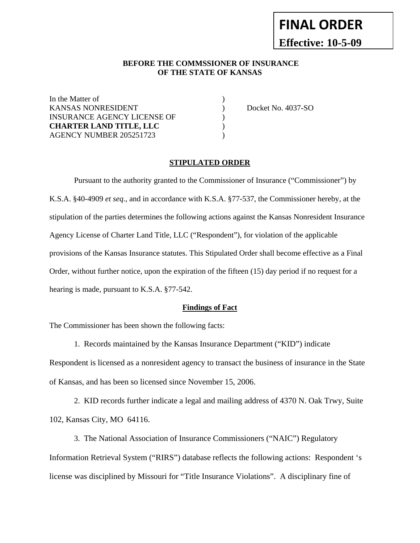# **FINAL ORDER Effective: 10-5-09**

#### **BEFORE THE COMMSSIONER OF INSURANCE OF THE STATE OF KANSAS**

In the Matter of KANSAS NONRESIDENT ) Docket No. 4037-SO INSURANCE AGENCY LICENSE OF  $\hspace{2cm}$ **CHARTER LAND TITLE, LLC** ) AGENCY NUMBER 205251723 (a)

#### **STIPULATED ORDER**

Pursuant to the authority granted to the Commissioner of Insurance ("Commissioner") by K.S.A. §40-4909 *et seq*., and in accordance with K.S.A. §77-537, the Commissioner hereby, at the stipulation of the parties determines the following actions against the Kansas Nonresident Insurance Agency License of Charter Land Title, LLC ("Respondent"), for violation of the applicable provisions of the Kansas Insurance statutes. This Stipulated Order shall become effective as a Final Order, without further notice, upon the expiration of the fifteen (15) day period if no request for a hearing is made, pursuant to K.S.A. §77-542.

#### **Findings of Fact**

The Commissioner has been shown the following facts:

1. Records maintained by the Kansas Insurance Department ("KID") indicate

Respondent is licensed as a nonresident agency to transact the business of insurance in the State of Kansas, and has been so licensed since November 15, 2006.

 2. KID records further indicate a legal and mailing address of 4370 N. Oak Trwy, Suite 102, Kansas City, MO 64116.

 3. The National Association of Insurance Commissioners ("NAIC") Regulatory Information Retrieval System ("RIRS") database reflects the following actions: Respondent 's license was disciplined by Missouri for "Title Insurance Violations". A disciplinary fine of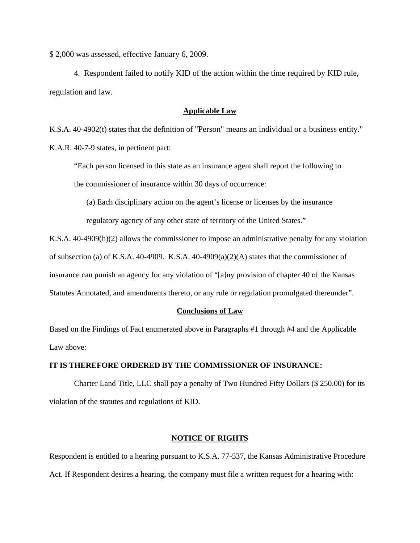\$ 2,000 was assessed, effective January 6, 2009.

 4. Respondent failed to notify KID of the action within the time required by KID rule, regulation and law.

#### **Applicable Law**

K.S.A. 40-4902(t) states that the definition of "Person" means an individual or a business entity."

K.A.R. 40-7-9 states, in pertinent part:

"Each person licensed in this state as an insurance agent shall report the following to the commissioner of insurance within 30 days of occurrence:

(a) Each disciplinary action on the agent's license or licenses by the insurance

regulatory agency of any other state of territory of the United States."

K.S.A. 40-4909(h)(2) allows the commissioner to impose an administrative penalty for any violation of subsection (a) of K.S.A. 40-4909. K.S.A. 40-4909(a)(2)(A) states that the commissioner of insurance can punish an agency for any violation of "[a]ny provision of chapter 40 of the Kansas Statutes Annotated, and amendments thereto, or any rule or regulation promulgated thereunder".

#### **Conclusions of Law**

Based on the Findings of Fact enumerated above in Paragraphs #1 through #4 and the Applicable Law above:

#### **IT IS THEREFORE ORDERED BY THE COMMISSIONER OF INSURANCE:**

 Charter Land Title, LLC shall pay a penalty of Two Hundred Fifty Dollars (\$ 250.00) for its violation of the statutes and regulations of KID.

#### **NOTICE OF RIGHTS**

Respondent is entitled to a hearing pursuant to K.S.A. 77-537, the Kansas Administrative Procedure Act. If Respondent desires a hearing, the company must file a written request for a hearing with: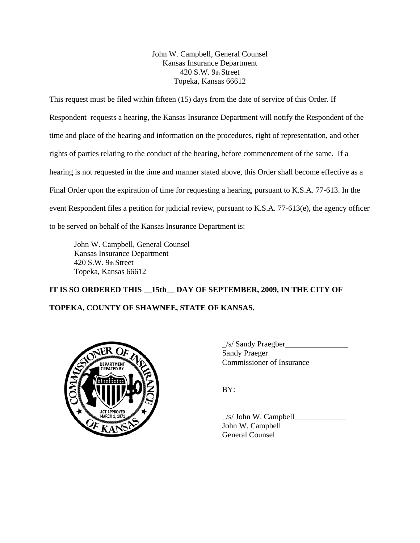John W. Campbell, General Counsel Kansas Insurance Department 420 S.W. 9th Street Topeka, Kansas 66612

This request must be filed within fifteen (15) days from the date of service of this Order. If Respondent requests a hearing, the Kansas Insurance Department will notify the Respondent of the time and place of the hearing and information on the procedures, right of representation, and other rights of parties relating to the conduct of the hearing, before commencement of the same. If a hearing is not requested in the time and manner stated above, this Order shall become effective as a Final Order upon the expiration of time for requesting a hearing, pursuant to K.S.A. 77-613. In the event Respondent files a petition for judicial review, pursuant to K.S.A. 77-613(e), the agency officer to be served on behalf of the Kansas Insurance Department is:

John W. Campbell, General Counsel Kansas Insurance Department 420 S.W. 9th Street Topeka, Kansas 66612

## **IT IS SO ORDERED THIS \_\_15th\_\_ DAY OF SEPTEMBER, 2009, IN THE CITY OF TOPEKA, COUNTY OF SHAWNEE, STATE OF KANSAS.**



 $\frac{1}{s}$  Sandy Praegber Sandy Praeger Commissioner of Insurance

BY:

 $\angle$ s/ John W. Campbell $\angle$ John W. Campbell General Counsel